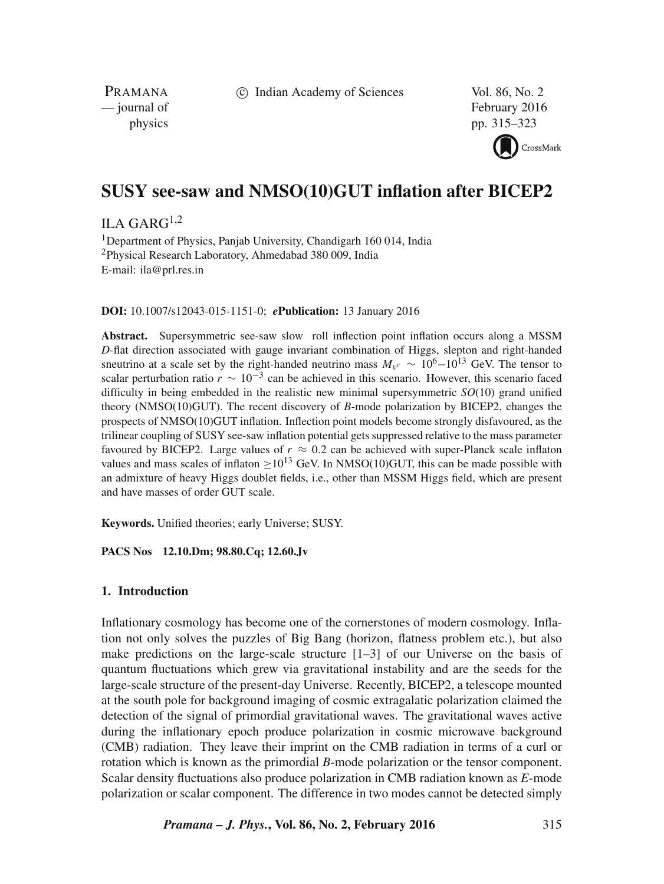c Indian Academy of Sciences Vol. 86, No. 2

PRAMANA<br>
— journal of

February 2016 physics pp. 315–323

CrossMark

# **SUSY see-saw and NMSO(10)GUT inflation after BICEP2**

ILA GAR $G^{1,2}$ 

<sup>1</sup>Department of Physics, Panjab University, Chandigarh 160 014, India <sup>2</sup>Physical Research Laboratory, Ahmedabad 380 009, India E-mail: ila@prl.res.in

**DOI:** 10.1007/s12043-015-1151-0; *e***Publication:** 13 January 2016

**Abstract.** Supersymmetric see-saw slow roll inflection point inflation occurs along a MSSM *D*-flat direction associated with gauge invariant combination of Higgs, slepton and right-handed sneutrino at a scale set by the right-handed neutrino mass  $M_{\nu^c} \sim 10^6 - 10^{13}$  GeV. The tensor to scalar perturbation ratio  $r \sim 10^{-3}$  can be achieved in this scenario. However, this scenario faced difficulty in being embedded in the realistic new minimal supersymmetric *SO*(10) grand unified theory (NMSO(10)GUT). The recent discovery of *B*-mode polarization by BICEP2, changes the prospects of NMSO(10)GUT inflation. Inflection point models become strongly disfavoured, as the trilinear coupling of SUSY see-saw inflation potential gets suppressed relative to the mass parameter favoured by BICEP2. Large values of  $r \approx 0.2$  can be achieved with super-Planck scale inflaton values and mass scales of inflaton  $>10^{13}$  GeV. In NMSO(10)GUT, this can be made possible with an admixture of heavy Higgs doublet fields, i.e., other than MSSM Higgs field, which are present and have masses of order GUT scale.

**Keywords.** Unified theories; early Universe; SUSY.

**PACS Nos 12.10.Dm; 98.80.Cq; 12.60.Jv**

# **1. Introduction**

Inflationary cosmology has become one of the cornerstones of modern cosmology. Inflation not only solves the puzzles of Big Bang (horizon, flatness problem etc.), but also make predictions on the large-scale structure  $[1-3]$  of our Universe on the basis of quantum fluctuations which grew via gravitational instability and are the seeds for the large-scale structure of the present-day Universe. Recently, BICEP2, a telescope mounted at the south pole for background imaging of cosmic extragalatic polarization claimed the detection of the signal of primordial gravitational waves. The gravitational waves active during the inflationary epoch produce polarization in cosmic microwave background (CMB) radiation. They leave their imprint on the CMB radiation in terms of a curl or rotation which is known as the primordial *B*-mode polarization or the tensor component. Scalar density fluctuations also produce polarization in CMB radiation known as *E*-mode polarization or scalar component. The difference in two modes cannot be detected simply

*Pramana – J. Phys.***, Vol. 86, No. 2, February 2016** 315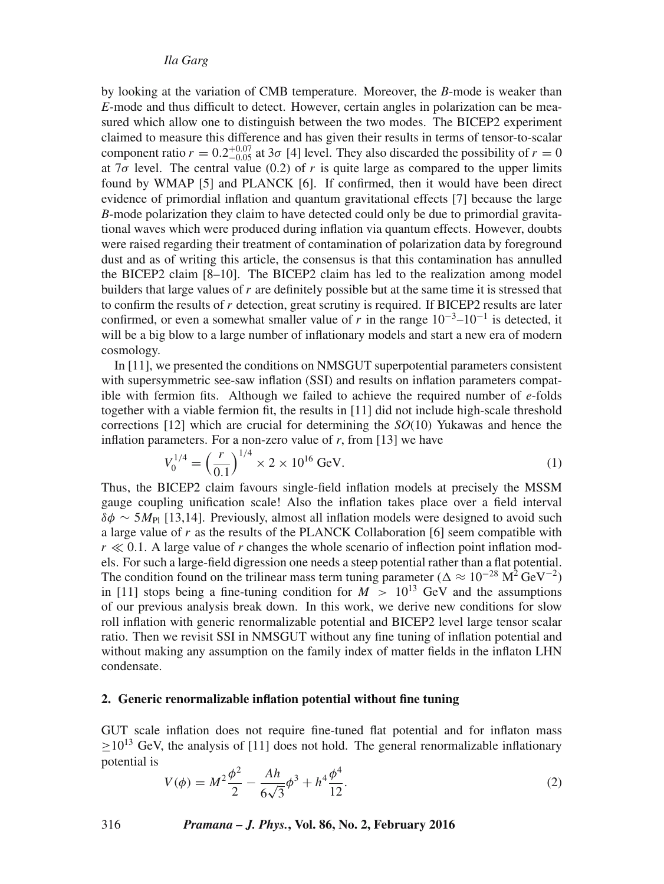*Ila Garg*

by looking at the variation of CMB temperature. Moreover, the *B*-mode is weaker than *E*-mode and thus difficult to detect. However, certain angles in polarization can be measured which allow one to distinguish between the two modes. The BICEP2 experiment claimed to measure this difference and has given their results in terms of tensor-to-scalar component ratio  $r = 0.2^{+0.07}_{-0.05}$  at  $3\sigma$  [4] level. They also discarded the possibility of  $r = 0$ at  $7\sigma$  level. The central value (0.2) of r is quite large as compared to the upper limits found by WMAP [5] and PLANCK [6]. If confirmed, then it would have been direct evidence of primordial inflation and quantum gravitational effects [7] because the large *B*-mode polarization they claim to have detected could only be due to primordial gravitational waves which were produced during inflation via quantum effects. However, doubts were raised regarding their treatment of contamination of polarization data by foreground dust and as of writing this article, the consensus is that this contamination has annulled the BICEP2 claim [8–10]. The BICEP2 claim has led to the realization among model builders that large values of r are definitely possible but at the same time it is stressed that to confirm the results of  $r$  detection, great scrutiny is required. If BICEP2 results are later confirmed, or even a somewhat smaller value of r in the range  $10^{-3}$ – $10^{-1}$  is detected, it will be a big blow to a large number of inflationary models and start a new era of modern cosmology.

In [11], we presented the conditions on NMSGUT superpotential parameters consistent with supersymmetric see-saw inflation (SSI) and results on inflation parameters compatible with fermion fits. Although we failed to achieve the required number of *e*-folds together with a viable fermion fit, the results in [11] did not include high-scale threshold corrections [12] which are crucial for determining the *SO*(10) Yukawas and hence the inflation parameters. For a non-zero value of *r*, from [13] we have

$$
V_0^{1/4} = \left(\frac{r}{0.1}\right)^{1/4} \times 2 \times 10^{16} \text{ GeV}.
$$
 (1)

Thus, the BICEP2 claim favours single-field inflation models at precisely the MSSM gauge coupling unification scale! Also the inflation takes place over a field interval  $\delta\phi \sim 5M_{\text{Pl}}$  [13,14]. Previously, almost all inflation models were designed to avoid such a large value of  $r$  as the results of the PLANCK Collaboration [6] seem compatible with  $r \ll 0.1$ . A large value of r changes the whole scenario of inflection point inflation models. For such a large-field digression one needs a steep potential rather than a flat potential. The condition found on the trilinear mass term tuning parameter ( $\Delta \approx 10^{-28}$  M<sup>2</sup> GeV<sup>-2</sup>) in [11] stops being a fine-tuning condition for  $M > 10^{13}$  GeV and the assumptions of our previous analysis break down. In this work, we derive new conditions for slow roll inflation with generic renormalizable potential and BICEP2 level large tensor scalar ratio. Then we revisit SSI in NMSGUT without any fine tuning of inflation potential and without making any assumption on the family index of matter fields in the inflaton LHN condensate.

# **2. Generic renormalizable inflation potential without fine tuning**

GUT scale inflation does not require fine-tuned flat potential and for inflaton mass  $>10^{13}$  GeV, the analysis of [11] does not hold. The general renormalizable inflationary potential is

$$
V(\phi) = M^2 \frac{\phi^2}{2} - \frac{Ah}{6\sqrt{3}} \phi^3 + h^4 \frac{\phi^4}{12}.
$$
 (2)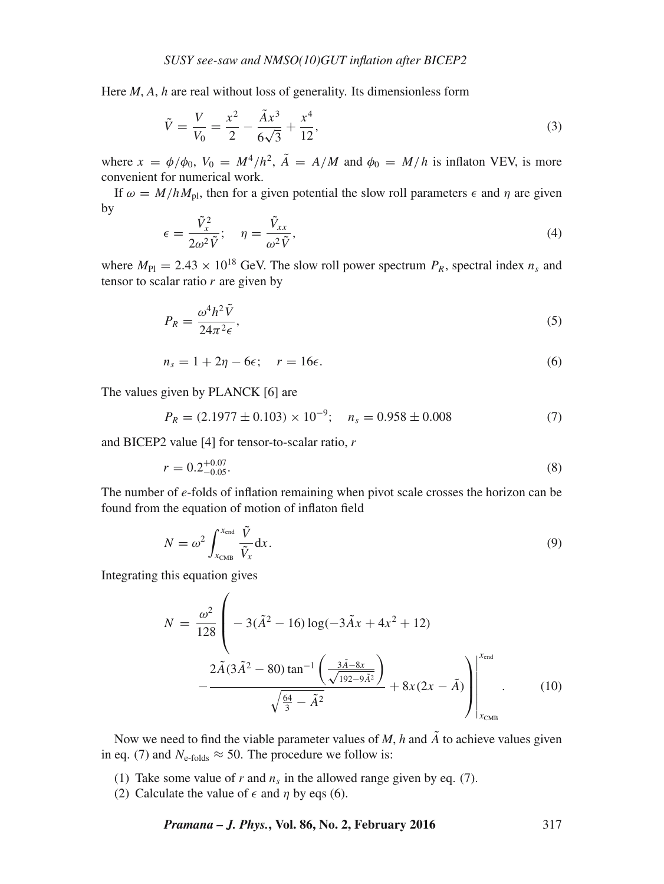Here *M*, *A*, *h* are real without loss of generality. Its dimensionless form

$$
\tilde{V} = \frac{V}{V_0} = \frac{x^2}{2} - \frac{\tilde{A}x^3}{6\sqrt{3}} + \frac{x^4}{12},\tag{3}
$$

where  $x = \phi/\phi_0$ ,  $V_0 = M^4/h^2$ ,  $\tilde{A} = A/M$  and  $\phi_0 = M/h$  is inflaton VEV, is more convenient for numerical work.

If  $\omega = M/hM_{\text{pl}}$ , then for a given potential the slow roll parameters  $\epsilon$  and  $\eta$  are given by

$$
\epsilon = \frac{\tilde{V}_x^2}{2\omega^2 \tilde{V}}; \quad \eta = \frac{\tilde{V}_{xx}}{\omega^2 \tilde{V}},\tag{4}
$$

where  $M_{\text{Pl}} = 2.43 \times 10^{18}$  GeV. The slow roll power spectrum  $P_R$ , spectral index  $n_s$  and tensor to scalar ratio  $r$  are given by

$$
P_R = \frac{\omega^4 h^2 \tilde{V}}{24\pi^2 \epsilon},\tag{5}
$$

$$
n_s = 1 + 2\eta - 6\epsilon; \quad r = 16\epsilon. \tag{6}
$$

The values given by PLANCK [6] are

$$
P_R = (2.1977 \pm 0.103) \times 10^{-9}; \quad n_s = 0.958 \pm 0.008 \tag{7}
$$

and BICEP2 value [4] for tensor-to-scalar ratio, r

$$
r = 0.2^{+0.07}_{-0.05}.\tag{8}
$$

The number of *e*-folds of inflation remaining when pivot scale crosses the horizon can be found from the equation of motion of inflaton field

$$
N = \omega^2 \int_{x_{\text{CMB}}}^{x_{\text{end}}} \frac{\tilde{V}}{\tilde{V}_x} dx.
$$
 (9)

Integrating this equation gives

$$
N = \frac{\omega^2}{128} \left( -3(\tilde{A}^2 - 16) \log(-3\tilde{A}x + 4x^2 + 12) - \frac{2\tilde{A}(3\tilde{A}^2 - 80) \tan^{-1} \left(\frac{3\tilde{A} - 8x}{\sqrt{192 - 9\tilde{A}^2}}\right)}{\sqrt{\frac{64}{3} - \tilde{A}^2}} + 8x(2x - \tilde{A}) \right) \Bigg|_{x_{\text{CMB}}}^{\text{lead}}.
$$
 (10)

Now we need to find the viable parameter values of  $M$ ,  $h$  and  $\tilde{A}$  to achieve values given in eq. (7) and  $N_{\text{e-folds}} \approx 50$ . The procedure we follow is:

- (1) Take some value of  $r$  and  $n_s$  in the allowed range given by eq. (7).
- (2) Calculate the value of  $\epsilon$  and  $\eta$  by eqs (6).

*Pramana – J. Phys.***, Vol. 86, No. 2, February 2016** 317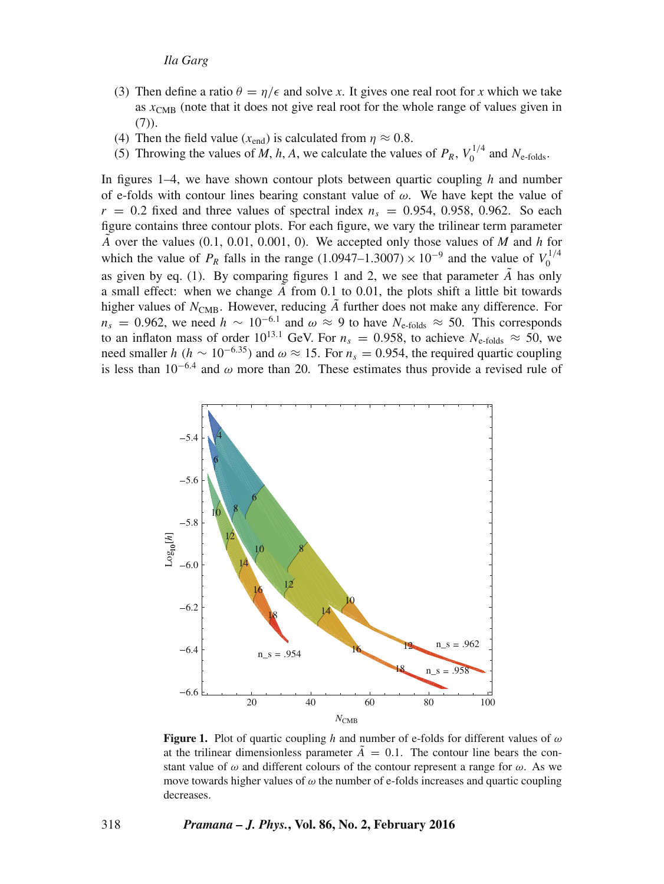- (3) Then define a ratio  $\theta = \eta/\epsilon$  and solve *x*. It gives one real root for *x* which we take as  $x<sub>CMB</sub>$  (note that it does not give real root for the whole range of values given in  $(7)$ ).
- (4) Then the field value ( $x_{\text{end}}$ ) is calculated from  $\eta \approx 0.8$ .
- (5) Throwing the values of *M*, *h*, *A*, we calculate the values of  $P_R$ ,  $V_0^{1/4}$  and  $N_{e\text{-folds}}$ .

In figures 1–4, we have shown contour plots between quartic coupling *h* and number of e-folds with contour lines bearing constant value of  $\omega$ . We have kept the value of  $r = 0.2$  fixed and three values of spectral index  $n<sub>s</sub> = 0.954, 0.958, 0.962$ . So each figure contains three contour plots. For each figure, we vary the trilinear term parameter  $\tilde{A}$  over the values (0.1, 0.01, 0.001, 0). We accepted only those values of *M* and *h* for which the value of  $P_R$  falls in the range (1.0947–1.3007) × 10<sup>-9</sup> and the value of  $V_0^{1/4}$ as given by eq. (1). By comparing figures 1 and 2, we see that parameter  $\tilde{A}$  has only a small effect: when we change  $\ddot{A}$  from 0.1 to 0.01, the plots shift a little bit towards higher values of  $N_{\text{CMB}}$ . However, reducing  $\tilde{A}$  further does not make any difference. For  $n_s = 0.962$ , we need  $h \sim 10^{-6.1}$  and  $\omega \approx 9$  to have  $N_{\text{e-folds}} \approx 50$ . This corresponds to an inflaton mass of order 10<sup>13.1</sup> GeV. For  $n_s = 0.958$ , to achieve  $N_{\text{e-folds}} \approx 50$ , we need smaller  $h (h \sim 10^{-6.35})$  and  $\omega \approx 15$ . For  $n_s = 0.954$ , the required quartic coupling is less than  $10^{-6.4}$  and  $\omega$  more than 20. These estimates thus provide a revised rule of



**Figure 1.** Plot of quartic coupling *h* and number of e-folds for different values of ω at the trilinear dimensionless parameter  $\ddot{A} = 0.1$ . The contour line bears the constant value of  $\omega$  and different colours of the contour represent a range for  $\omega$ . As we move towards higher values of  $\omega$  the number of e-folds increases and quartic coupling decreases.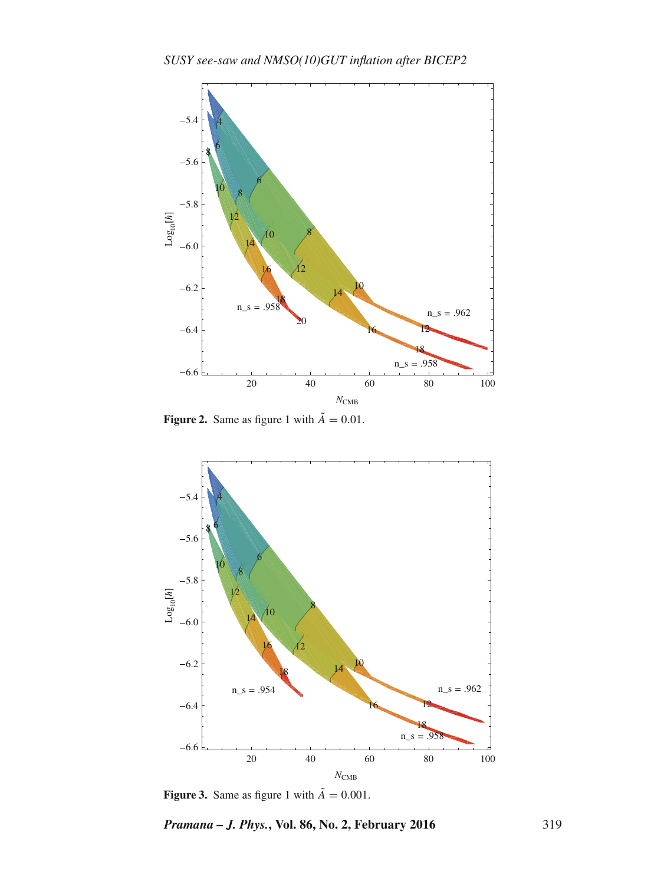

**Figure 2.** Same as figure 1 with  $\tilde{A} = 0.01$ .



**Figure 3.** Same as figure 1 with  $\tilde{A} = 0.001$ .

*Pramana – J. Phys.***, Vol. 86, No. 2, February 2016** 319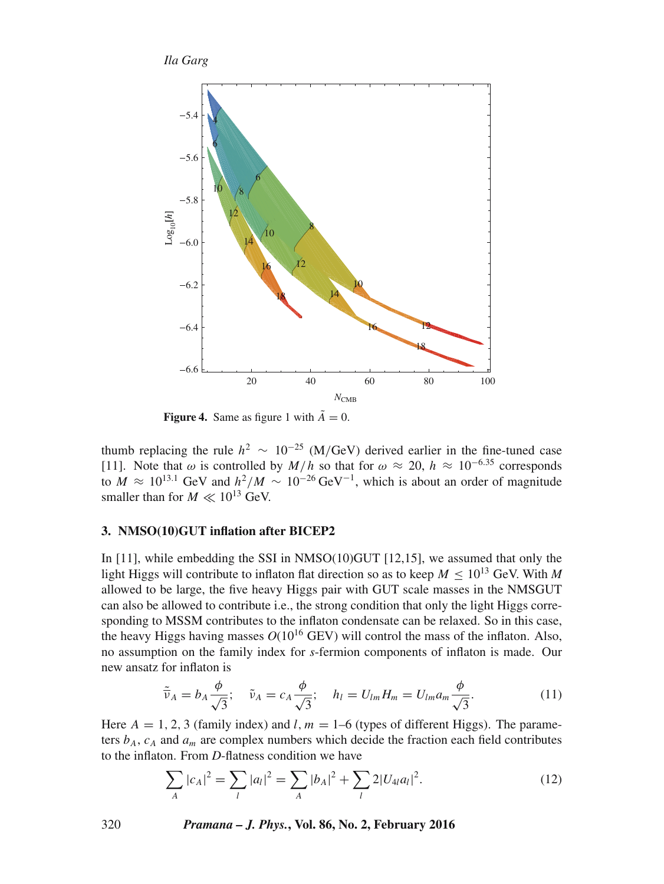*Ila Garg*



**Figure 4.** Same as figure 1 with  $\tilde{A} = 0$ .

thumb replacing the rule  $h^2 \sim 10^{-25}$  (M/GeV) derived earlier in the fine-tuned case [11]. Note that  $\omega$  is controlled by  $M/h$  so that for  $\omega \approx 20$ ,  $h \approx 10^{-6.35}$  corresponds to  $M \approx 10^{13.1}$  GeV and  $h^2/M \sim 10^{-26}$  GeV<sup>-1</sup>, which is about an order of magnitude smaller than for  $M \ll 10^{13}$  GeV.

### **3. NMSO(10)GUT inflation after BICEP2**

In [11], while embedding the SSI in NMSO(10)GUT [12,15], we assumed that only the light Higgs will contribute to inflaton flat direction so as to keep  $M \leq 10^{13}$  GeV. With M allowed to be large, the five heavy Higgs pair with GUT scale masses in the NMSGUT can also be allowed to contribute i.e., the strong condition that only the light Higgs corresponding to MSSM contributes to the inflaton condensate can be relaxed. So in this case, the heavy Higgs having masses  $O(10^{16}$  GEV) will control the mass of the inflaton. Also, no assumption on the family index for *s*-fermion components of inflaton is made. Our new ansatz for inflaton is

$$
\tilde{\overline{\nu}}_A = b_A \frac{\phi}{\sqrt{3}}; \quad \tilde{\nu}_A = c_A \frac{\phi}{\sqrt{3}}; \quad h_l = U_{lm} H_m = U_{lm} a_m \frac{\phi}{\sqrt{3}}.
$$
\n(11)

Here  $A = 1, 2, 3$  (family index) and l,  $m = 1-6$  (types of different Higgs). The parameters  $b_A$ ,  $c_A$  and  $a_m$  are complex numbers which decide the fraction each field contributes to the inflaton. From *D*-flatness condition we have

$$
\sum_{A} |c_A|^2 = \sum_{l} |a_l|^2 = \sum_{A} |b_A|^2 + \sum_{l} 2|U_{4l}a_l|^2.
$$
 (12)

320 *Pramana – J. Phys.***, Vol. 86, No. 2, February 2016**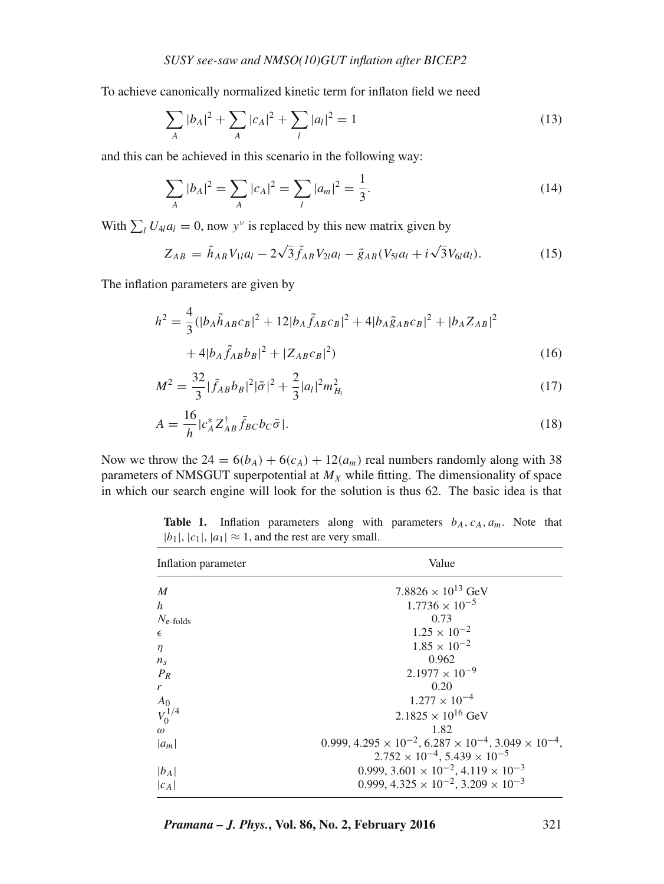To achieve canonically normalized kinetic term for inflaton field we need

$$
\sum_{A} |b_A|^2 + \sum_{A} |c_A|^2 + \sum_{l} |a_l|^2 = 1
$$
\n(13)

and this can be achieved in this scenario in the following way:

$$
\sum_{A} |b_A|^2 = \sum_{A} |c_A|^2 = \sum_{l} |a_m|^2 = \frac{1}{3}.
$$
 (14)

With  $\sum_l U_{4l} a_l = 0$ , now y<sup>v</sup> is replaced by this new matrix given by

$$
Z_{AB} = \tilde{h}_{AB} V_{1l} a_l - 2\sqrt{3} \tilde{f}_{AB} V_{2l} a_l - \tilde{g}_{AB} (V_{5l} a_l + i\sqrt{3} V_{6l} a_l). \tag{15}
$$

The inflation parameters are given by

$$
h^{2} = \frac{4}{3}(|b_{A}\tilde{h}_{AB}c_{B}|^{2} + 12|b_{A}\tilde{f}_{AB}c_{B}|^{2} + 4|b_{A}\tilde{g}_{AB}c_{B}|^{2} + |b_{A}Z_{AB}|^{2}
$$

$$
+ 4|b_{A}\tilde{f}_{AB}b_{B}|^{2} + |Z_{AB}c_{B}|^{2})
$$
(16)

$$
M^2 = \frac{32}{3} |\tilde{f}_{AB} b_B|^2 |\bar{\sigma}|^2 + \frac{2}{3} |a_l|^2 m_{H_l}^2
$$
 (17)

$$
A = \frac{16}{h} |c_A^* Z_{AB}^\dagger \tilde{f}_{BC} b_C \bar{\sigma}|. \tag{18}
$$

Now we throw the  $24 = 6(b_A) + 6(c_A) + 12(a_m)$  real numbers randomly along with 38 parameters of NMSGUT superpotential at  $M_X$  while fitting. The dimensionality of space in which our search engine will look for the solution is thus 62. The basic idea is that

**Table 1.** Inflation parameters along with parameters  $b_A$ ,  $c_A$ ,  $a_m$ . Note that  $|b_1|, |c_1|, |a_1| \approx 1$ , and the rest are very small.

| Inflation parameter                             | Value                                                                      |
|-------------------------------------------------|----------------------------------------------------------------------------|
| $\boldsymbol{M}$                                | 7.8826 $\times$ 10 <sup>13</sup> GeV                                       |
| h                                               | $1.7736 \times 10^{-5}$                                                    |
| $N_{\text{e-folds}}$                            | 0.73                                                                       |
| $\epsilon$                                      | $1.25 \times 10^{-2}$                                                      |
| $\eta$                                          | $1.85 \times 10^{-2}$                                                      |
| $n_{\rm s}$                                     | 0.962                                                                      |
| $P_R$                                           | $2.1977 \times 10^{-9}$                                                    |
| r                                               | 0.20                                                                       |
|                                                 | $1.277 \times 10^{-4}$                                                     |
| $\begin{array}{c} A_0 \\ V_0^{1/4} \end{array}$ | $2.1825 \times 10^{16}$ GeV                                                |
| $\omega$                                        | 1.82                                                                       |
| $ a_m $                                         | $0.999, 4.295 \times 10^{-2}, 6.287 \times 10^{-4}, 3.049 \times 10^{-4},$ |
|                                                 | $2.752 \times 10^{-4}$ , 5.439 $\times 10^{-5}$                            |
| $ b_A $                                         | 0.999, $3.601 \times 10^{-2}$ , $4.119 \times 10^{-3}$                     |
| $ c_A $                                         | $0.999, 4.325 \times 10^{-2}, 3.209 \times 10^{-3}$                        |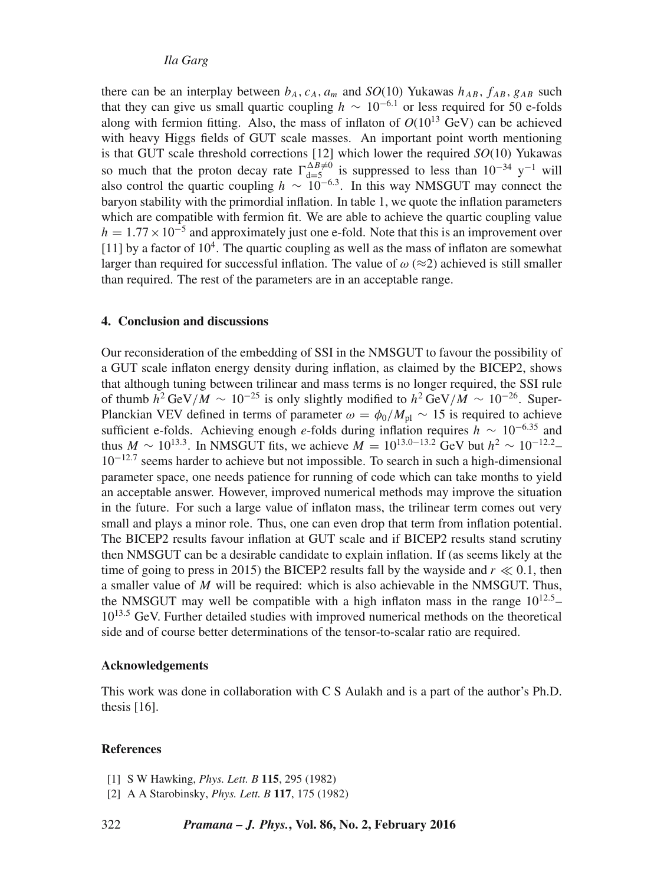# *Ila Garg*

there can be an interplay between  $b_A$ ,  $c_A$ ,  $a_m$  and *SO*(10) Yukawas  $h_{AB}$ ,  $f_{AB}$ ,  $g_{AB}$  such that they can give us small quartic coupling  $h \sim 10^{-6.1}$  or less required for 50 e-folds along with fermion fitting. Also, the mass of inflaton of  $O(10^{13} \text{ GeV})$  can be achieved with heavy Higgs fields of GUT scale masses. An important point worth mentioning is that GUT scale threshold corrections [12] which lower the required *SO*(10) Yukawas so much that the proton decay rate  $\Gamma_{\text{dS}}^{\Delta B \neq 0}$  is suppressed to less than  $10^{-34}$  y<sup>-1</sup> will also control the quartic coupling  $h \sim 10^{-6.3}$ . In this way NMSGUT may connect the baryon stability with the primordial inflation. In table 1, we quote the inflation parameters which are compatible with fermion fit. We are able to achieve the quartic coupling value  $h = 1.77 \times 10^{-5}$  and approximately just one e-fold. Note that this is an improvement over [11] by a factor of  $10<sup>4</sup>$ . The quartic coupling as well as the mass of inflaton are somewhat larger than required for successful inflation. The value of  $\omega \approx 2$ ) achieved is still smaller than required. The rest of the parameters are in an acceptable range.

## **4. Conclusion and discussions**

Our reconsideration of the embedding of SSI in the NMSGUT to favour the possibility of a GUT scale inflaton energy density during inflation, as claimed by the BICEP2, shows that although tuning between trilinear and mass terms is no longer required, the SSI rule of thumb  $h^2 \text{GeV}/M \sim 10^{-25}$  is only slightly modified to  $h^2 \text{GeV}/M \sim 10^{-26}$ . Super-Planckian VEV defined in terms of parameter  $\omega = \phi_0/M_{\rm pl} \sim 15$  is required to achieve sufficient e-folds. Achieving enough *e*-folds during inflation requires  $\hat{h} \sim 10^{-6.35}$  and thus  $M \sim 10^{13.3}$ . In NMSGUT fits, we achieve  $M = 10^{13.0-13.2}$  GeV but  $h^2 \sim 10^{-12.2}$ 10−12.<sup>7</sup> seems harder to achieve but not impossible. To search in such a high-dimensional parameter space, one needs patience for running of code which can take months to yield an acceptable answer. However, improved numerical methods may improve the situation in the future. For such a large value of inflaton mass, the trilinear term comes out very small and plays a minor role. Thus, one can even drop that term from inflation potential. The BICEP2 results favour inflation at GUT scale and if BICEP2 results stand scrutiny then NMSGUT can be a desirable candidate to explain inflation. If (as seems likely at the time of going to press in 2015) the BICEP2 results fall by the wayside and  $r \ll 0.1$ , then a smaller value of  $M$  will be required: which is also achievable in the NMSGUT. Thus, the NMSGUT may well be compatible with a high inflaton mass in the range  $10^{12.5}$ -10<sup>13.5</sup> GeV. Further detailed studies with improved numerical methods on the theoretical side and of course better determinations of the tensor-to-scalar ratio are required.

#### **Acknowledgements**

This work was done in collaboration with C S Aulakh and is a part of the author's Ph.D. thesis [16].

### **References**

- [1] S W Hawking, *Phys. Lett. B* **115**, 295 (1982)
- [2] A A Starobinsky, *Phys. Lett. B* **117**, 175 (1982)